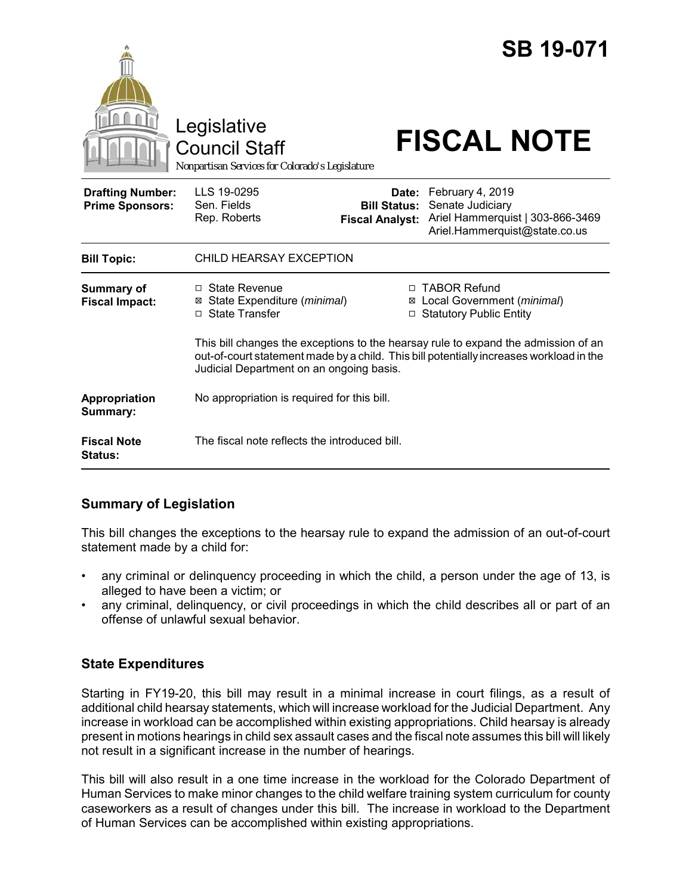|                                                   | Legislative<br><b>Council Staff</b><br>Nonpartisan Services for Colorado's Legislature                                                                                                                                    |                                                        | <b>SB 19-071</b><br><b>FISCAL NOTE</b>                                                                    |
|---------------------------------------------------|---------------------------------------------------------------------------------------------------------------------------------------------------------------------------------------------------------------------------|--------------------------------------------------------|-----------------------------------------------------------------------------------------------------------|
| <b>Drafting Number:</b><br><b>Prime Sponsors:</b> | LLS 19-0295<br>Sen. Fields<br>Rep. Roberts                                                                                                                                                                                | Date:<br><b>Bill Status:</b><br><b>Fiscal Analyst:</b> | February 4, 2019<br>Senate Judiciary<br>Ariel Hammerquist   303-866-3469<br>Ariel.Hammerquist@state.co.us |
| <b>Bill Topic:</b>                                | CHILD HEARSAY EXCEPTION                                                                                                                                                                                                   |                                                        |                                                                                                           |
| Summary of<br><b>Fiscal Impact:</b>               | □ State Revenue<br>State Expenditure (minimal)<br>⊠<br>$\Box$ State Transfer                                                                                                                                              |                                                        | □ TABOR Refund<br>⊠ Local Government (minimal)<br>□ Statutory Public Entity                               |
|                                                   | This bill changes the exceptions to the hearsay rule to expand the admission of an<br>out-of-court statement made by a child. This bill potentially increases workload in the<br>Judicial Department on an ongoing basis. |                                                        |                                                                                                           |
| Appropriation<br>Summary:                         | No appropriation is required for this bill.                                                                                                                                                                               |                                                        |                                                                                                           |
| <b>Fiscal Note</b><br><b>Status:</b>              | The fiscal note reflects the introduced bill.                                                                                                                                                                             |                                                        |                                                                                                           |

# **Summary of Legislation**

This bill changes the exceptions to the hearsay rule to expand the admission of an out-of-court statement made by a child for:

- any criminal or delinquency proceeding in which the child, a person under the age of 13, is alleged to have been a victim; or
- any criminal, delinquency, or civil proceedings in which the child describes all or part of an offense of unlawful sexual behavior.

# **State Expenditures**

Starting in FY19-20, this bill may result in a minimal increase in court filings, as a result of additional child hearsay statements, which will increase workload for the Judicial Department. Any increase in workload can be accomplished within existing appropriations. Child hearsay is already present in motions hearings in child sex assault cases and the fiscal note assumes this bill will likely not result in a significant increase in the number of hearings.

This bill will also result in a one time increase in the workload for the Colorado Department of Human Services to make minor changes to the child welfare training system curriculum for county caseworkers as a result of changes under this bill. The increase in workload to the Department of Human Services can be accomplished within existing appropriations.